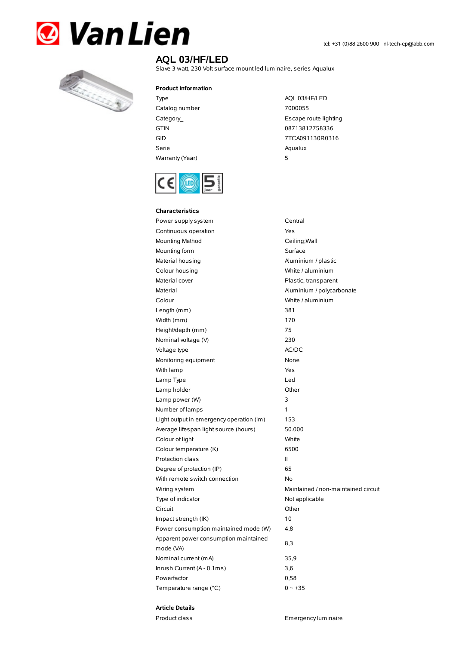



## **AQL 03/HF/LED**

Slave 3 watt, 230 Volt surface mount led luminaire, series Aqualux

## **Product Information**

- Type AQL 03/HF/LED Catalog number 7000055 GTIN 08713812758336 Serie Aqualux Warranty (Year) 5
- Category\_ example and the control of the Escape route lighting GID 7TCA091130R0316



| <b>Characteristics</b>                   |                                     |  |
|------------------------------------------|-------------------------------------|--|
| Power supply system                      | Central                             |  |
| Continuous operation                     | Yes                                 |  |
| Mounting Method                          | Ceiling; Wall                       |  |
| Mounting form                            | Surface                             |  |
| Material housing                         | Aluminium / plastic                 |  |
| Colour housing                           | White / aluminium                   |  |
| Material cover                           | Plastic, transparent                |  |
| Material                                 | Aluminium / polycarbonate           |  |
| Colour                                   | White / aluminium                   |  |
| Length (mm)                              | 381                                 |  |
| Width (mm)                               | 170                                 |  |
| Height/depth (mm)                        | 75                                  |  |
| Nominal voltage (V)                      | 230                                 |  |
| Voltage type                             | AC/DC                               |  |
| Monitoring equipment                     | None                                |  |
| With lamp                                | Yes                                 |  |
| Lamp Type                                | Led                                 |  |
| Lamp holder                              | Other                               |  |
| Lamp power (W)                           | 3                                   |  |
| Number of lamps                          | 1                                   |  |
| Light output in emergency operation (Im) | 153                                 |  |
| Average lifespan light source (hours)    | 50.000                              |  |
| Colour of light                          | White                               |  |
| Colour temperature (K)                   | 6500                                |  |
| Protection class                         | Ш                                   |  |
| Degree of protection (IP)                | 65                                  |  |
| With remote switch connection            | No                                  |  |
| Wiring system                            | Maintained / non-maintained circuit |  |
| Type of indicator                        | Not applicable                      |  |
| Circuit                                  | Other                               |  |
| Impact strength (IK)                     | 10                                  |  |
| Power consumption maintained mode (W)    | 4,8                                 |  |
| Apparent power consumption maintained    | 8,3                                 |  |
| mode (VA)                                |                                     |  |
| Nominal current (mA)                     | 35,9                                |  |
| Inrush Current (A - 0.1ms)               | 3,6                                 |  |
| Powerfactor                              | 0,58                                |  |
| Temperature range (°C)                   | $0 - +35$                           |  |

## **Article Details**